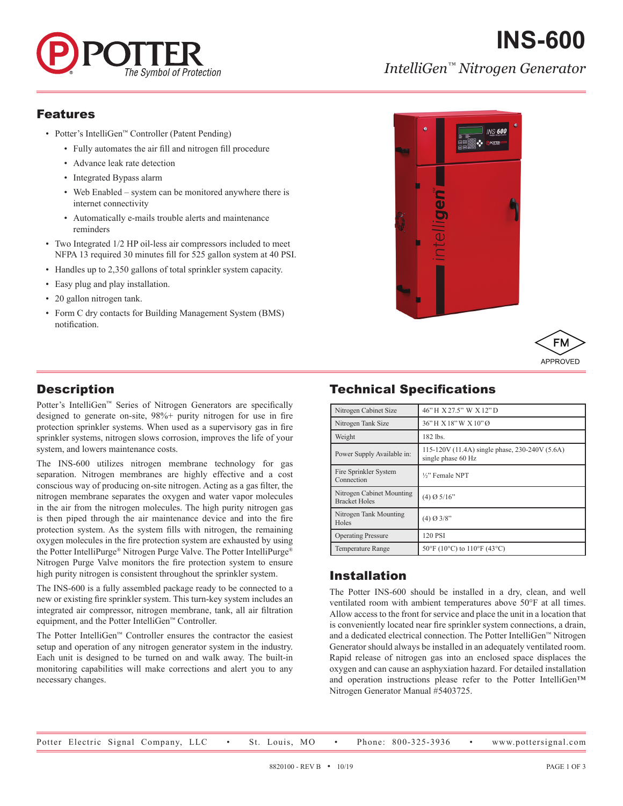

# **INS-600** *IntelliGen™ Nitrogen Generator*

#### Features

- Potter's IntelliGen™ Controller (Patent Pending)
	- Fully automates the air fill and nitrogen fill procedure
	- Advance leak rate detection
	- Integrated Bypass alarm
	- Web Enabled system can be monitored anywhere there is internet connectivity
	- Automatically e-mails trouble alerts and maintenance reminders
- Two Integrated 1/2 HP oil-less air compressors included to meet NFPA 13 required 30 minutes fill for 525 gallon system at 40 PSI.
- Handles up to 2,350 gallons of total sprinkler system capacity.
- Easy plug and play installation.
- 20 gallon nitrogen tank.
- Form C dry contacts for Building Management System (BMS) notification.





## **Description**

Potter's IntelliGen™ Series of Nitrogen Generators are specifically designed to generate on-site, 98%+ purity nitrogen for use in fire protection sprinkler systems. When used as a supervisory gas in fire sprinkler systems, nitrogen slows corrosion, improves the life of your system, and lowers maintenance costs.

The INS-600 utilizes nitrogen membrane technology for gas separation. Nitrogen membranes are highly effective and a cost conscious way of producing on-site nitrogen. Acting as a gas filter, the nitrogen membrane separates the oxygen and water vapor molecules in the air from the nitrogen molecules. The high purity nitrogen gas is then piped through the air maintenance device and into the fire protection system. As the system fills with nitrogen, the remaining oxygen molecules in the fire protection system are exhausted by using the Potter IntelliPurge® Nitrogen Purge Valve. The Potter IntelliPurge® Nitrogen Purge Valve monitors the fire protection system to ensure high purity nitrogen is consistent throughout the sprinkler system.

The INS-600 is a fully assembled package ready to be connected to a new or existing fire sprinkler system. This turn-key system includes an integrated air compressor, nitrogen membrane, tank, all air filtration equipment, and the Potter IntelliGen™ Controller.

The Potter IntelliGen™ Controller ensures the contractor the easiest setup and operation of any nitrogen generator system in the industry. Each unit is designed to be turned on and walk away. The built-in monitoring capabilities will make corrections and alert you to any necessary changes.

# Technical Specifications

| Nitrogen Cabinet Size                             | 46" H X 27.5" W X 12" D                                              |  |
|---------------------------------------------------|----------------------------------------------------------------------|--|
| Nitrogen Tank Size                                | 36"H X 18"W X 10"Ø                                                   |  |
| Weight                                            | 182 lbs.                                                             |  |
| Power Supply Available in:                        | 115-120V (11.4A) single phase, 230-240V (5.6A)<br>single phase 60 Hz |  |
| Fire Sprinkler System<br>Connection               | 1/ <sub>2</sub> " Female NPT                                         |  |
| Nitrogen Cabinet Mounting<br><b>Bracket Holes</b> | $(4)$ Ø 5/16"                                                        |  |
| Nitrogen Tank Mounting<br>Holes                   | $(4)$ Ø 3/8"                                                         |  |
| <b>Operating Pressure</b>                         | 120 PSI                                                              |  |
| <b>Temperature Range</b>                          | 50°F (10°C) to 110°F (43°C)                                          |  |

### Installation

The Potter INS-600 should be installed in a dry, clean, and well ventilated room with ambient temperatures above 50°F at all times. Allow access to the front for service and place the unit in a location that is conveniently located near fire sprinkler system connections, a drain, and a dedicated electrical connection. The Potter IntelliGen™ Nitrogen Generator should always be installed in an adequately ventilated room. Rapid release of nitrogen gas into an enclosed space displaces the oxygen and can cause an asphyxiation hazard. For detailed installation and operation instructions please refer to the Potter IntelliGen™ Nitrogen Generator Manual #5403725.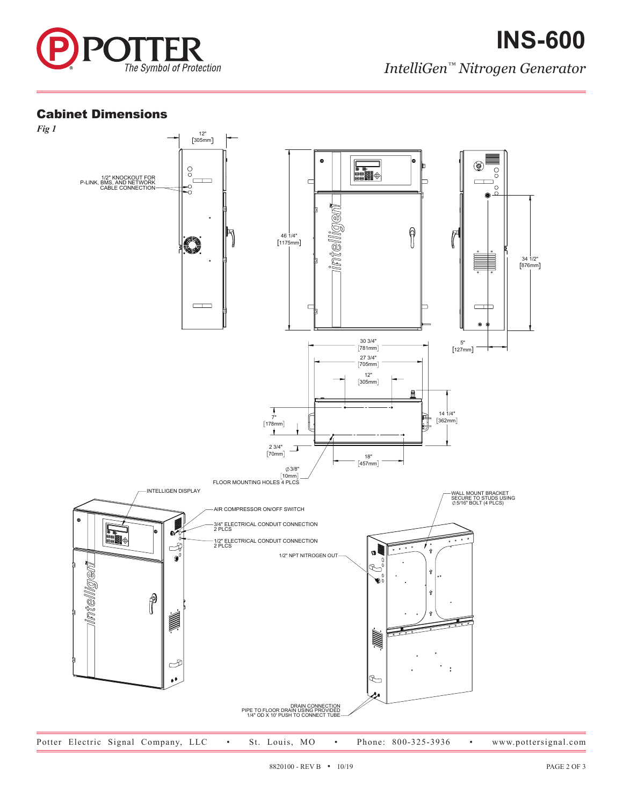

### Cabinet Dimensions

1/2" KNOCKOUT FOR P-LINK, BMS, AND NETWORK CABLE CONNECTION